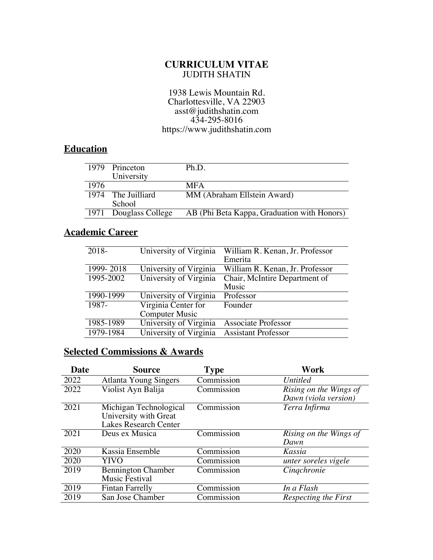#### **CURRICULUM VITAE** JUDITH SHATIN

#### 1938 Lewis Mountain Rd. Charlottesville, VA 22903 asst@judithshatin.com 434-295-8016 https://www.judithshatin.com

#### **Education**

|      | 1979 Princeton        | Ph.D.                                       |
|------|-----------------------|---------------------------------------------|
|      |                       |                                             |
|      | University            |                                             |
| 1976 |                       | <b>MFA</b>                                  |
|      | 1974 The Juilliard    | MM (Abraham Ellstein Award)                 |
|      | School                |                                             |
|      | 1971 Douglass College | AB (Phi Beta Kappa, Graduation with Honors) |

### **Academic Career**

| $2018-$   | University of Virginia | William R. Kenan, Jr. Professor<br>Emerita |
|-----------|------------------------|--------------------------------------------|
| 1999-2018 | University of Virginia | William R. Kenan, Jr. Professor            |
| 1995-2002 | University of Virginia | Chair, McIntire Department of              |
|           |                        | Music                                      |
| 1990-1999 | University of Virginia | Professor                                  |
| 1987-     | Virginia Center for    | Founder                                    |
|           | <b>Computer Music</b>  |                                            |
| 1985-1989 | University of Virginia | <b>Associate Professor</b>                 |
| 1979-1984 | University of Virginia | <b>Assistant Professor</b>                 |

### **Selected Commissions & Awards**

| Date | <b>Source</b>                                                                   | <b>Type</b> | Work                                           |
|------|---------------------------------------------------------------------------------|-------------|------------------------------------------------|
| 2022 | <b>Atlanta Young Singers</b>                                                    | Commission  | <i>Untitled</i>                                |
| 2022 | Violist Ayn Balija                                                              | Commission  | Rising on the Wings of<br>Dawn (viola version) |
| 2021 | Michigan Technological<br>University with Great<br><b>Lakes Research Center</b> | Commission  | Terra Infirma                                  |
| 2021 | Deus ex Musica                                                                  | Commission  | Rising on the Wings of<br>Dawn                 |
| 2020 | Kassia Ensemble                                                                 | Commission  | Kassia                                         |
| 2020 | YIVO                                                                            | Commission  | unter soreles vigele                           |
| 2019 | <b>Bennington Chamber</b><br>Music Festival                                     | Commission  | Cingchronie                                    |
| 2019 | <b>Fintan Farrelly</b>                                                          | Commission  | In a Flash                                     |
| 2019 | San Jose Chamber                                                                | Commission  | Respecting the First                           |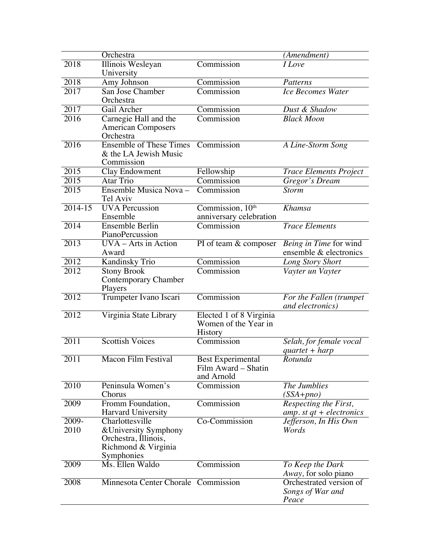|                   | Orchestra                                                                          |                                                            | (Amendment)                                          |
|-------------------|------------------------------------------------------------------------------------|------------------------------------------------------------|------------------------------------------------------|
| 2018              | Illinois Wesleyan<br>University                                                    | Commission                                                 | <i>I</i> Love                                        |
| 2018              | Amy Johnson                                                                        | Commission                                                 | Patterns                                             |
| 2017              | San Jose Chamber<br>Orchestra                                                      | Commission                                                 | <b>Ice Becomes Water</b>                             |
| 2017              | Gail Archer                                                                        | Commission                                                 | Dust & Shadow                                        |
| 2016              | Carnegie Hall and the<br><b>American Composers</b><br>Orchestra                    | Commission                                                 | <b>Black Moon</b>                                    |
| 2016              | <b>Ensemble of These Times</b><br>& the LA Jewish Music<br>Commission              | Commission                                                 | A Line-Storm Song                                    |
| 2015              | Clay Endowment                                                                     | Fellowship                                                 | <b>Trace Elements Project</b>                        |
| 2015              | Atar Trio                                                                          | Commission                                                 | Gregor's Dream                                       |
| 2015              | Ensemble Musica Nova -<br>Tel Aviv                                                 | Commission                                                 | <b>Storm</b>                                         |
| 2014-15           | <b>UVA</b> Percussion<br>Ensemble                                                  | Commission, 10th<br>anniversary celebration                | <b>Khamsa</b>                                        |
| 2014              | Ensemble Berlin<br>PianoPercussion                                                 | Commission                                                 | <b>Trace Elements</b>                                |
| 2013              | UVA - Arts in Action<br>Award                                                      | PI of team & composer                                      | Being in Time for wind<br>ensemble & electronics     |
| 2012              | <b>Kandinsky Trio</b>                                                              | Commission                                                 | Long Story Short                                     |
| 2012              | <b>Stony Brook</b><br><b>Contemporary Chamber</b><br>Players                       | Commission                                                 | Vayter un Vayter                                     |
| 2012              | Trumpeter Ivano Iscari                                                             | Commission                                                 | For the Fallen (trumpet<br>and electronics)          |
| 2012              | Virginia State Library                                                             | Elected 1 of 8 Virginia<br>Women of the Year in<br>History |                                                      |
| 2011              | <b>Scottish Voices</b>                                                             | Commission                                                 | Selah, for female vocal<br>$quartet + harp$          |
| 2011              | <b>Macon Film Festival</b>                                                         | Best Experimental<br>Film Award - Shatin<br>and Arnold     | Rotunda                                              |
| 2010              | Peninsula Women's<br>Chorus                                                        | Commission                                                 | The Jumblies<br>$(SSA + pno)$                        |
| $200\overline{9}$ | Fromm Foundation,<br>Harvard University                                            | Commission                                                 | Respecting the First,<br>amp. st $qt +$ electronics  |
| 2009-             | Charlottesville                                                                    | Co-Commission                                              | Jefferson, In His Own                                |
| 2010              | & University Symphony<br>Orchestra, Illinois,<br>Richmond & Virginia<br>Symphonies |                                                            | Words                                                |
| 2009              | Ms. Ellen Waldo                                                                    | Commission                                                 | To Keep the Dark<br>Away, for solo piano             |
| 2008              | Minnesota Center Chorale Commission                                                |                                                            | Orchestrated version of<br>Songs of War and<br>Peace |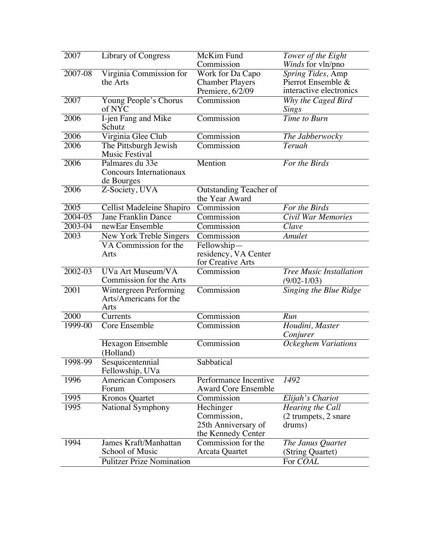| 2007    | <b>Library of Congress</b>                       | McKim Fund                      | Tower of the Eight             |
|---------|--------------------------------------------------|---------------------------------|--------------------------------|
|         |                                                  | Commission                      | Winds for vln/pno              |
| 2007-08 | Virginia Commission for                          | Work for Da Capo                | Spring Tides, Amp              |
|         | the Arts                                         | <b>Chamber Players</b>          | Pierrot Ensemble &             |
|         |                                                  | Premiere, 6/2/09                | interactive electronics        |
| 2007    | Young People's Chorus                            | Commission                      | Why the Caged Bird             |
|         | of NYC                                           |                                 | <b>Sings</b>                   |
| 2006    | I-jen Fang and Mike<br>Schutz                    | Commission                      | Time to Burn                   |
| 2006    | Virginia Glee Club                               | Commission                      | The Jabberwocky                |
| 2006    | The Pittsburgh Jewish<br>Music Festival          | Commission                      | <b>Teruah</b>                  |
| 2006    | Palmares du 33e<br>Concours Internationaux       | Mention                         | For the Birds                  |
|         | de Bourges                                       |                                 |                                |
| 2006    | Z-Society, UVA                                   | Outstanding Teacher of          |                                |
|         |                                                  | the Year Award                  |                                |
| 2005    | Cellist Madeleine Shapiro                        | Commission                      | For the Birds                  |
| 2004-05 | <b>Jane Franklin Dance</b>                       | Commission                      | <b>Civil War Memories</b>      |
| 2003-04 | newEar Ensemble                                  | Commission                      | Clave                          |
| 2003    | New York Treble Singers                          | Commission                      | <b>Amulet</b>                  |
|         | VA Commission for the                            | Fellowship-                     |                                |
|         | Arts                                             | residency, VA Center            |                                |
| 2002-03 | UVa Art Museum/VA                                | for Creative Arts<br>Commission | <b>Tree Music Installation</b> |
|         | Commission for the Arts                          |                                 |                                |
| 2001    |                                                  |                                 | $(9/02 - 1/03)$                |
|         | Wintergreen Performing<br>Arts/Americans for the | Commission                      | Singing the Blue Ridge         |
| 2000    | Arts<br>Currents                                 | Commission                      | Run                            |
| 1999-00 | <b>Core Ensemble</b>                             | Commission                      |                                |
|         |                                                  |                                 | Houdini, Master<br>Conjurer    |
|         | Hexagon Ensemble                                 | Commission                      | Ockeghem Variations            |
|         | (Holland)                                        |                                 |                                |
| 1998-99 | Sesquicentennial                                 | Sabbatical                      |                                |
|         | Fellowship, UVa                                  |                                 |                                |
| 1996    | <b>American Composers</b>                        | Performance Incentive           | 1492                           |
|         | Forum                                            | <b>Award Core Ensemble</b>      |                                |
| 1995    | <b>Kronos Quartet</b>                            | Commission                      | Elijah's Chariot               |
| 1995    | National Symphony                                | Hechinger                       | Hearing the Call               |
|         |                                                  | Commission,                     | (2 trumpets, 2 snare)          |
|         |                                                  | 25th Anniversary of             | drums)                         |
|         |                                                  | the Kennedy Center              |                                |
| 1994    | <b>James Kraft/Manhattan</b>                     | Commission for the              | The Janus Quartet              |
|         | School of Music                                  | Arcata Quartet                  | (String Quartet)               |
|         | <b>Pulitzer Prize Nomination</b>                 |                                 | For COAL                       |
|         |                                                  |                                 |                                |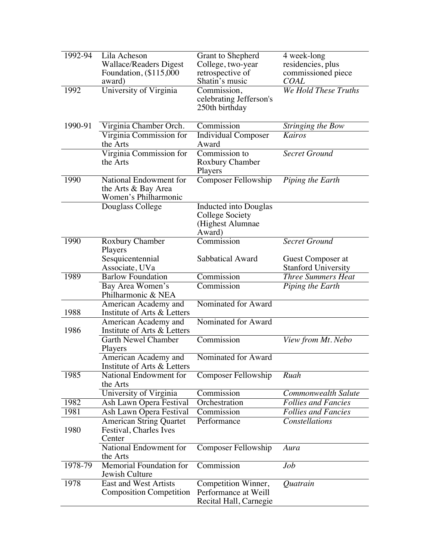| $1992 - 94$ | Lila Acheson<br><b>Wallace/Readers Digest</b><br>Foundation, (\$115,000)<br>award) | Grant to Shepherd<br>College, two-year<br>retrospective of<br>Shatin's music | 4 week-long<br>residencies, plus<br>commissioned piece<br><b>COAL</b> |
|-------------|------------------------------------------------------------------------------------|------------------------------------------------------------------------------|-----------------------------------------------------------------------|
| 1992        | University of Virginia                                                             | Commission,<br>celebrating Jefferson's<br>250th birthday                     | We Hold These Truths                                                  |
| 1990-91     | Virginia Chamber Orch.                                                             | Commission                                                                   | Stringing the Bow                                                     |
|             | Virginia Commission for<br>the Arts                                                | <b>Individual Composer</b><br>Award                                          | <b>Kairos</b>                                                         |
|             | Virginia Commission for<br>the Arts                                                | Commission to<br><b>Roxbury Chamber</b><br>Players                           | <b>Secret Ground</b>                                                  |
| 1990        | National Endowment for<br>the Arts & Bay Area<br>Women's Philharmonic              | Composer Fellowship                                                          | Piping the Earth                                                      |
|             | Douglass College                                                                   | Inducted into Douglas<br>College Society<br>(Highest Alumnae<br>Award)       |                                                                       |
| 1990        | Roxbury Chamber                                                                    | Commission                                                                   | <b>Secret Ground</b>                                                  |
|             | Players<br>Sesquicentennial<br>Associate, UVa                                      | Sabbatical Award                                                             | Guest Composer at<br><b>Stanford University</b>                       |
| 1989        | <b>Barlow Foundation</b>                                                           | Commission                                                                   | <b>Three Summers Heat</b>                                             |
|             | Bay Area Women's<br>Philharmonic & NEA                                             | Commission                                                                   | Piping the Earth                                                      |
| 1988        | American Academy and<br>Institute of Arts & Letters                                | Nominated for Award                                                          |                                                                       |
| 1986        | American Academy and<br>Institute of Arts & Letters                                | Nominated for Award                                                          |                                                                       |
|             | Garth Newel Chamber<br>Players                                                     | Commission                                                                   | View from Mt. Nebo                                                    |
|             | American Academy and<br>Institute of Arts & Letters                                | Nominated for Award                                                          |                                                                       |
| 1985        | National Endowment for<br>the Arts                                                 | <b>Composer Fellowship</b>                                                   | Ruah                                                                  |
|             | University of Virginia                                                             | Commission                                                                   | Commonwealth Salute                                                   |
| 1982        | Ash Lawn Opera Festival                                                            | Orchestration                                                                | <b>Follies and Fancies</b>                                            |
| 1981        | Ash Lawn Opera Festival                                                            | Commission                                                                   | <b>Follies and Fancies</b>                                            |
| 1980        | <b>American String Quartet</b><br>Festival, Charles Ives<br>Center                 | Performance                                                                  | Constellations                                                        |
|             | National Endowment for<br>the Arts                                                 | Composer Fellowship                                                          | Aura                                                                  |
| 1978-79     | Memorial Foundation for<br>Jewish Culture                                          | Commission                                                                   | Job                                                                   |
| 1978        | <b>East and West Artists</b><br><b>Composition Competition</b>                     | Competition Winner,<br>Performance at Weill<br>Recital Hall, Carnegie        | Quatrain                                                              |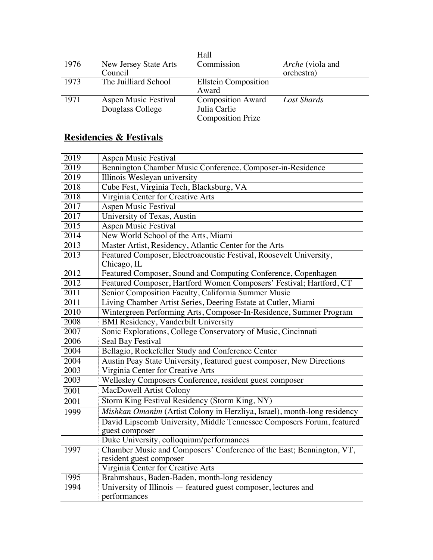| Commission<br><i>Arche</i> (viola and<br>orchestra) |
|-----------------------------------------------------|
|                                                     |
|                                                     |
| <b>Ellstein Composition</b>                         |
| Award                                               |
| <b>Composition Award</b><br>Lost Shards             |
| Julia Carlie                                        |
| <b>Composition Prize</b>                            |
|                                                     |

## **Residencies & Festivals**

| 2019              | <b>Aspen Music Festival</b>                                                       |
|-------------------|-----------------------------------------------------------------------------------|
| 2019              | Bennington Chamber Music Conference, Composer-in-Residence                        |
| 2019              | Illinois Wesleyan university                                                      |
| 2018              | Cube Fest, Virginia Tech, Blacksburg, VA                                          |
| 2018              | Virginia Center for Creative Arts                                                 |
| 2017              | <b>Aspen Music Festival</b>                                                       |
| 2017              | University of Texas, Austin                                                       |
| 2015              | <b>Aspen Music Festival</b>                                                       |
| $\overline{2014}$ | New World School of the Arts, Miami                                               |
| 2013              | Master Artist, Residency, Atlantic Center for the Arts                            |
| 2013              | Featured Composer, Electroacoustic Festival, Roosevelt University,<br>Chicago, IL |
| 2012              | Featured Composer, Sound and Computing Conference, Copenhagen                     |
| 2012              | Featured Composer, Hartford Women Composers' Festival; Hartford, CT               |
| 2011              | Senior Composition Faculty, California Summer Music                               |
| $\overline{2011}$ | Living Chamber Artist Series, Deering Estate at Cutler, Miami                     |
| 2010              | Wintergreen Performing Arts, Composer-In-Residence, Summer Program                |
| 2008              | <b>BMI Residency, Vanderbilt University</b>                                       |
| 2007              | Sonic Explorations, College Conservatory of Music, Cincinnati                     |
| 2006              | <b>Seal Bay Festival</b>                                                          |
| 2004              | Bellagio, Rockefeller Study and Conference Center                                 |
| 2004              | Austin Peay State University, featured guest composer, New Directions             |
| 2003              | Virginia Center for Creative Arts                                                 |
| 2003              | Wellesley Composers Conference, resident guest composer                           |
| 2001              | MacDowell Artist Colony                                                           |
| 2001              | Storm King Festival Residency (Storm King, NY)                                    |
| 1999              | Mishkan Omanim (Artist Colony in Herzliya, Israel), month-long residency          |
|                   | David Lipscomb University, Middle Tennessee Composers Forum, featured             |
|                   | guest composer                                                                    |
|                   | Duke University, colloquium/performances                                          |
| 1997              | Chamber Music and Composers' Conference of the East; Bennington, VT,              |
|                   | resident guest composer                                                           |
|                   | Virginia Center for Creative Arts                                                 |
| 1995              | Brahmshaus, Baden-Baden, month-long residency                                     |
| 1994              | University of Illinois — featured guest composer, lectures and                    |
|                   | performances                                                                      |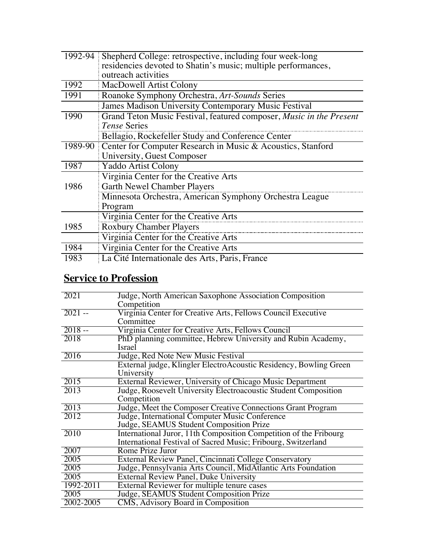| 1992-94 | Shepherd College: retrospective, including four week-long           |  |
|---------|---------------------------------------------------------------------|--|
|         | residencies devoted to Shatin's music; multiple performances,       |  |
|         | outreach activities                                                 |  |
| 1992    | MacDowell Artist Colony                                             |  |
| 1991    | Roanoke Symphony Orchestra, Art-Sounds Series                       |  |
|         | James Madison University Contemporary Music Festival                |  |
| 1990    | Grand Teton Music Festival, featured composer, Music in the Present |  |
|         | Tense Series                                                        |  |
|         | Bellagio, Rockefeller Study and Conference Center                   |  |
|         | 1989-90 Center for Computer Research in Music & Acoustics, Stanford |  |
|         | University, Guest Composer                                          |  |
| 1987    | Yaddo Artist Colony                                                 |  |
|         | Virginia Center for the Creative Arts                               |  |
| 1986    | <b>Garth Newel Chamber Players</b>                                  |  |
|         | Minnesota Orchestra, American Symphony Orchestra League             |  |
|         | Program                                                             |  |
|         | Virginia Center for the Creative Arts                               |  |
| 1985    | <b>Roxbury Chamber Players</b>                                      |  |
|         | Virginia Center for the Creative Arts                               |  |
| 1984    | Virginia Center for the Creative Arts                               |  |
| 1983    | La Cité Internationale des Arts, Paris, France                      |  |
|         |                                                                     |  |

## **Service to Profession**

| 2021      | Judge, North American Saxophone Association Composition           |
|-----------|-------------------------------------------------------------------|
|           | Competition                                                       |
| $2021 -$  | Virginia Center for Creative Arts, Fellows Council Executive      |
|           | Committee                                                         |
| $2018 -$  | Virginia Center for Creative Arts, Fellows Council                |
| 2018      | PhD planning committee, Hebrew University and Rubin Academy,      |
|           | Israel                                                            |
| 2016      | Judge, Red Note New Music Festival                                |
|           | External judge, Klingler ElectroAcoustic Residency, Bowling Green |
|           | University                                                        |
| 2015      | External Reviewer, University of Chicago Music Department         |
| 2013      | Judge, Roosevelt University Electroacoustic Student Composition   |
|           | Competition                                                       |
| 2013      | Judge, Meet the Composer Creative Connections Grant Program       |
| 2012      | Judge, International Computer Music Conference                    |
|           | Judge, SEAMUS Student Composition Prize                           |
| 2010      | International Juror, 11th Composition Competition of the Fribourg |
|           | International Festival of Sacred Music; Fribourg, Switzerland     |
| 2007      | Rome Prize Juror                                                  |
| 2005      | External Review Panel, Cincinnati College Conservatory            |
| 2005      | Judge, Pennsylvania Arts Council, MidAtlantic Arts Foundation     |
| 2005      | <b>External Review Panel, Duke University</b>                     |
| 1992-2011 | External Reviewer for multiple tenure cases                       |
| 2005      | Judge, SEAMUS Student Composition Prize                           |
| 2002-2005 | CMS, Advisory Board in Composition                                |
|           |                                                                   |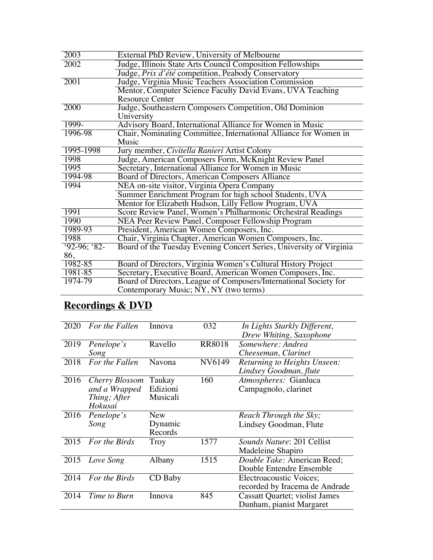| 2003         | External PhD Review, University of Melbourne                        |
|--------------|---------------------------------------------------------------------|
| 2002         | Judge, Illinois State Arts Council Composition Fellowships          |
|              | Judge, Prix d'été competition, Peabody Conservatory                 |
| 2001         | Judge, Virginia Music Teachers Association Commission               |
|              | Mentor, Computer Science Faculty David Evans, UVA Teaching          |
|              | <b>Resource Center</b>                                              |
| 2000         | Judge, Southeastern Composers Competition, Old Dominion             |
|              | University                                                          |
| 1999-        | Advisory Board, International Alliance for Women in Music           |
| 1996-98      | Chair, Nominating Committee, International Alliance for Women in    |
|              | Music                                                               |
| 1995-1998    | Jury member, Civitella Ranieri Artist Colony                        |
| 1998         | Judge, American Composers Form, McKnight Review Panel               |
| 1995         | Secretary, International Alliance for Women in Music                |
| 1994-98      | Board of Directors, American Composers Alliance                     |
| 1994         | NEA on-site visitor, Virginia Opera Company                         |
|              | Summer Enrichment Program for high school Students, UVA             |
|              | Mentor for Elizabeth Hudson, Lilly Fellow Program, UVA              |
| 1991         | Score Review Panel, Women's Philharmonic Orchestral Readings        |
| 1990         | NEA Peer Review Panel, Composer Fellowship Program                  |
| 1989-93      | President, American Women Composers, Inc.                           |
| 1988         | Chair, Virginia Chapter, American Women Composers, Inc.             |
| $92-96; 82-$ | Board of the Tuesday Evening Concert Series, University of Virginia |
| 86,          |                                                                     |
| 1982-85      | Board of Directors, Virginia Women's Cultural History Project       |
| 1981-85      | Secretary, Executive Board, American Women Composers, Inc.          |
| 1974-79      | Board of Directors, League of Composers/International Society for   |
|              | Contemporary Music; NY, NY (two terms)                              |

# **Recordings & DVD**

| 2020 | For the Fallen | Innova     | 032           | In Lights Starkly Different,          |
|------|----------------|------------|---------------|---------------------------------------|
|      |                |            |               | Drew Whiting, Saxophone               |
| 2019 | Penelope's     | Ravello    | <b>RR8018</b> | Somewhere: Andrea                     |
|      | Song           |            |               | Cheeseman, Clarinet                   |
| 2018 | For the Fallen | Navona     | NV6149        | Returning to Heights Unseen:          |
|      |                |            |               | Lindsey Goodman, flute                |
| 2016 | Cherry Blossom | Taukay     | 160           | Atmospheres: Gianluca                 |
|      | and a Wrapped  | Edizioni   |               | Campagnolo, clarinet                  |
|      | Thing; After   | Musicali   |               |                                       |
|      | Hokusai        |            |               |                                       |
| 2016 | Penelope's     | <b>New</b> |               | Reach Through the Sky;                |
|      | Song           | Dynamic    |               | Lindsey Goodman, Flute                |
|      |                | Records    |               |                                       |
| 2015 | For the Birds  | Troy       | 1577          | <i>Sounds Nature: 201 Cellist</i>     |
|      |                |            |               | Madeleine Shapiro                     |
| 2015 | Love Song      | Albany     | 1515          | Double Take: American Reed;           |
|      |                |            |               | Double Entendre Ensemble              |
| 2014 | For the Birds  | CD Baby    |               | <b>Electroacoustic Voices;</b>        |
|      |                |            |               | recorded by Iracema de Andrade        |
| 2014 | Time to Burn   | Innova     | 845           | <b>Cassatt Quartet; violist James</b> |
|      |                |            |               | Dunham, pianist Margaret              |
|      |                |            |               |                                       |